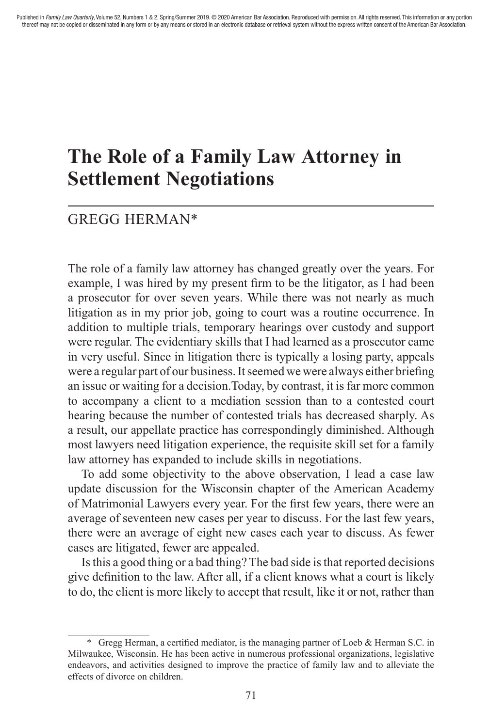# **The Role of a Family Law Attorney in Settlement Negotiations**

# GREGG HERMAN\*

The role of a family law attorney has changed greatly over the years. For example, I was hired by my present firm to be the litigator, as I had been a prosecutor for over seven years. While there was not nearly as much litigation as in my prior job, going to court was a routine occurrence. In addition to multiple trials, temporary hearings over custody and support were regular. The evidentiary skills that I had learned as a prosecutor came in very useful. Since in litigation there is typically a losing party, appeals were a regular part of our business. It seemed we were always either briefing an issue or waiting for a decision.Today, by contrast, it is far more common to accompany a client to a mediation session than to a contested court hearing because the number of contested trials has decreased sharply. As a result, our appellate practice has correspondingly diminished. Although most lawyers need litigation experience, the requisite skill set for a family law attorney has expanded to include skills in negotiations.

To add some objectivity to the above observation, I lead a case law update discussion for the Wisconsin chapter of the American Academy of Matrimonial Lawyers every year. For the first few years, there were an average of seventeen new cases per year to discuss. For the last few years, there were an average of eight new cases each year to discuss. As fewer cases are litigated, fewer are appealed.

Is this a good thing or a bad thing? The bad side is that reported decisions give definition to the law. After all, if a client knows what a court is likely to do, the client is more likely to accept that result, like it or not, rather than

<sup>\*</sup> Gregg Herman, a certified mediator, is the managing partner of Loeb & Herman S.C. in Milwaukee, Wisconsin. He has been active in numerous professional organizations, legislative endeavors, and activities designed to improve the practice of family law and to alleviate the effects of divorce on children.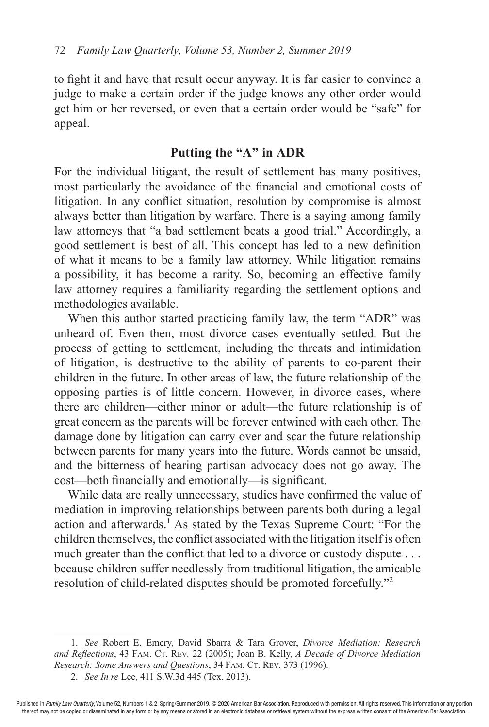to fight it and have that result occur anyway. It is far easier to convince a judge to make a certain order if the judge knows any other order would get him or her reversed, or even that a certain order would be "safe" for appeal.

### **Putting the "A" in ADR**

For the individual litigant, the result of settlement has many positives, most particularly the avoidance of the financial and emotional costs of litigation. In any conflict situation, resolution by compromise is almost always better than litigation by warfare. There is a saying among family law attorneys that "a bad settlement beats a good trial." Accordingly, a good settlement is best of all. This concept has led to a new definition of what it means to be a family law attorney. While litigation remains a possibility, it has become a rarity. So, becoming an effective family law attorney requires a familiarity regarding the settlement options and methodologies available.

When this author started practicing family law, the term "ADR" was unheard of. Even then, most divorce cases eventually settled. But the process of getting to settlement, including the threats and intimidation of litigation, is destructive to the ability of parents to co-parent their children in the future. In other areas of law, the future relationship of the opposing parties is of little concern. However, in divorce cases, where there are children—either minor or adult—the future relationship is of great concern as the parents will be forever entwined with each other. The damage done by litigation can carry over and scar the future relationship between parents for many years into the future. Words cannot be unsaid, and the bitterness of hearing partisan advocacy does not go away. The cost—both financially and emotionally—is significant.

While data are really unnecessary, studies have confirmed the value of mediation in improving relationships between parents both during a legal action and afterwards.<sup>1</sup> As stated by the Texas Supreme Court: "For the children themselves, the conflict associated with the litigation itself is often much greater than the conflict that led to a divorce or custody dispute . . . because children suffer needlessly from traditional litigation, the amicable resolution of child-related disputes should be promoted forcefully."2

<sup>1.</sup> *See* Robert E. Emery, David Sbarra & Tara Grover, *Divorce Mediation: Research*  and Reflections, 43 FAM. CT. REV. 22 (2005); Joan B. Kelly, *A Decade of Divorce Mediation Research: Some Answers and Questions*, 34 FAM. CT. REV. 373 (1996).

<sup>2.</sup> *See In re* Lee, 411 S.W.3d 445 (Tex. 2013).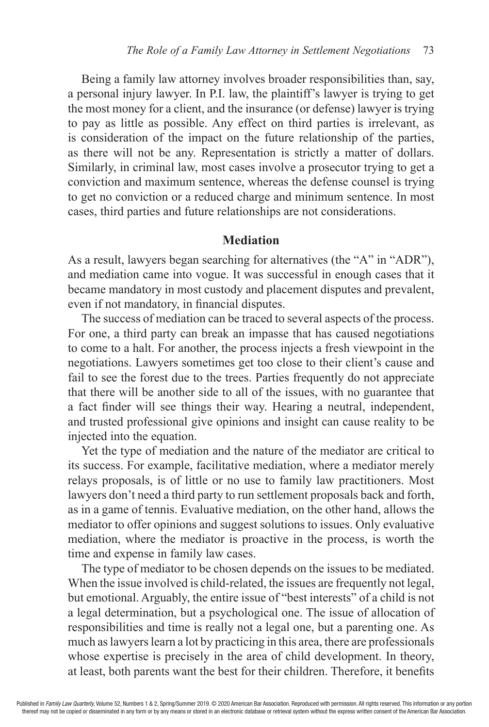Being a family law attorney involves broader responsibilities than, say, a personal injury lawyer. In P.I. law, the plaintiff's lawyer is trying to get the most money for a client, and the insurance (or defense) lawyer is trying to pay as little as possible. Any effect on third parties is irrelevant, as is consideration of the impact on the future relationship of the parties, as there will not be any. Representation is strictly a matter of dollars. Similarly, in criminal law, most cases involve a prosecutor trying to get a conviction and maximum sentence, whereas the defense counsel is trying to get no conviction or a reduced charge and minimum sentence. In most cases, third parties and future relationships are not considerations.

### **Mediation**

As a result, lawyers began searching for alternatives (the "A" in "ADR"), and mediation came into vogue. It was successful in enough cases that it became mandatory in most custody and placement disputes and prevalent, even if not mandatory, in financial disputes.

The success of mediation can be traced to several aspects of the process. For one, a third party can break an impasse that has caused negotiations to come to a halt. For another, the process injects a fresh viewpoint in the negotiations. Lawyers sometimes get too close to their client's cause and fail to see the forest due to the trees. Parties frequently do not appreciate that there will be another side to all of the issues, with no guarantee that a fact finder will see things their way. Hearing a neutral, independent, and trusted professional give opinions and insight can cause reality to be injected into the equation.

Yet the type of mediation and the nature of the mediator are critical to its success. For example, facilitative mediation, where a mediator merely relays proposals, is of little or no use to family law practitioners. Most lawyers don't need a third party to run settlement proposals back and forth, as in a game of tennis. Evaluative mediation, on the other hand, allows the mediator to offer opinions and suggest solutions to issues. Only evaluative mediation, where the mediator is proactive in the process, is worth the time and expense in family law cases.

The type of mediator to be chosen depends on the issues to be mediated. When the issue involved is child-related, the issues are frequently not legal, but emotional. Arguably, the entire issue of "best interests" of a child is not a legal determination, but a psychological one. The issue of allocation of responsibilities and time is really not a legal one, but a parenting one. As much as lawyers learn a lot by practicing in this area, there are professionals whose expertise is precisely in the area of child development. In theory, at least, both parents want the best for their children. Therefore, it benefits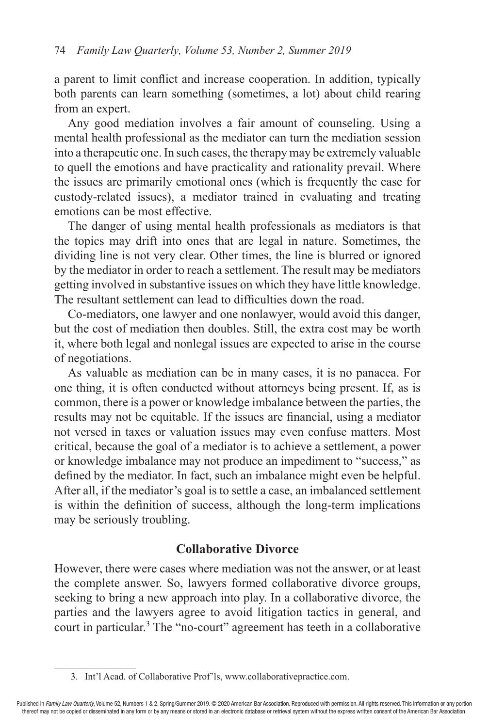a parent to limit conflict and increase cooperation. In addition, typically both parents can learn something (sometimes, a lot) about child rearing from an expert.

Any good mediation involves a fair amount of counseling. Using a mental health professional as the mediator can turn the mediation session into a therapeutic one. In such cases, the therapy may be extremely valuable to quell the emotions and have practicality and rationality prevail. Where the issues are primarily emotional ones (which is frequently the case for custody-related issues), a mediator trained in evaluating and treating emotions can be most effective.

The danger of using mental health professionals as mediators is that the topics may drift into ones that are legal in nature. Sometimes, the dividing line is not very clear. Other times, the line is blurred or ignored by the mediator in order to reach a settlement. The result may be mediators getting involved in substantive issues on which they have little knowledge. The resultant settlement can lead to difficulties down the road.

Co-mediators, one lawyer and one nonlawyer, would avoid this danger, but the cost of mediation then doubles. Still, the extra cost may be worth it, where both legal and nonlegal issues are expected to arise in the course of negotiations.

As valuable as mediation can be in many cases, it is no panacea. For one thing, it is often conducted without attorneys being present. If, as is common, there is a power or knowledge imbalance between the parties, the results may not be equitable. If the issues are financial, using a mediator not versed in taxes or valuation issues may even confuse matters. Most critical, because the goal of a mediator is to achieve a settlement, a power or knowledge imbalance may not produce an impediment to "success," as defined by the mediator. In fact, such an imbalance might even be helpful. After all, if the mediator's goal is to settle a case, an imbalanced settlement is within the definition of success, although the long-term implications may be seriously troubling.

## **Collaborative Divorce**

However, there were cases where mediation was not the answer, or at least the complete answer. So, lawyers formed collaborative divorce groups, seeking to bring a new approach into play. In a collaborative divorce, the parties and the lawyers agree to avoid litigation tactics in general, and court in particular.<sup>3</sup> The "no-court" agreement has teeth in a collaborative

<sup>3.</sup> Int'l Acad. of Collaborative Prof'ls, www.collaborativepractice.com.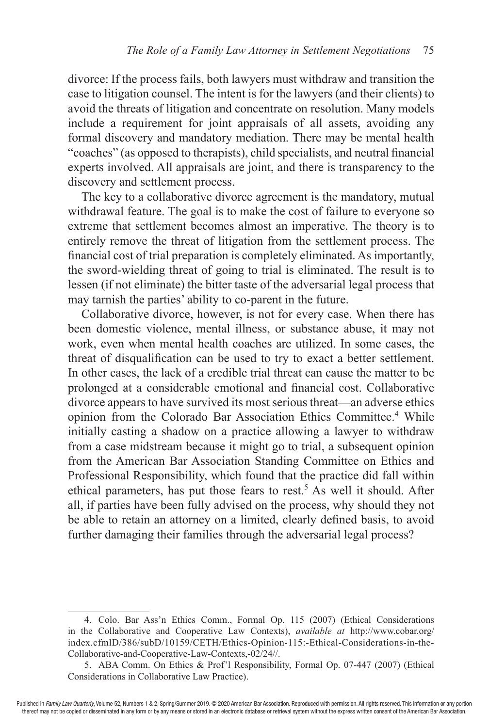divorce: If the process fails, both lawyers must withdraw and transition the case to litigation counsel. The intent is for the lawyers (and their clients) to avoid the threats of litigation and concentrate on resolution. Many models include a requirement for joint appraisals of all assets, avoiding any formal discovery and mandatory mediation. There may be mental health "coaches" (as opposed to therapists), child specialists, and neutral financial experts involved. All appraisals are joint, and there is transparency to the discovery and settlement process.

The key to a collaborative divorce agreement is the mandatory, mutual withdrawal feature. The goal is to make the cost of failure to everyone so extreme that settlement becomes almost an imperative. The theory is to entirely remove the threat of litigation from the settlement process. The financial cost of trial preparation is completely eliminated. As importantly, the sword-wielding threat of going to trial is eliminated. The result is to lessen (if not eliminate) the bitter taste of the adversarial legal process that may tarnish the parties' ability to co-parent in the future.

Collaborative divorce, however, is not for every case. When there has been domestic violence, mental illness, or substance abuse, it may not work, even when mental health coaches are utilized. In some cases, the threat of disqualification can be used to try to exact a better settlement. In other cases, the lack of a credible trial threat can cause the matter to be prolonged at a considerable emotional and financial cost. Collaborative divorce appears to have survived its most serious threat—an adverse ethics opinion from the Colorado Bar Association Ethics Committee.<sup>4</sup> While initially casting a shadow on a practice allowing a lawyer to withdraw from a case midstream because it might go to trial, a subsequent opinion from the American Bar Association Standing Committee on Ethics and Professional Responsibility, which found that the practice did fall within ethical parameters, has put those fears to rest.<sup>5</sup> As well it should. After all, if parties have been fully advised on the process, why should they not be able to retain an attorney on a limited, clearly defined basis, to avoid further damaging their families through the adversarial legal process?

<sup>4.</sup> Colo. Bar Ass'n Ethics Comm., Formal Op. 115 (2007) (Ethical Considerations in the Collaborative and Cooperative Law Contexts), *available at* http://www.cobar.org/ index.cfmlD/386/subD/10159/CETH/Ethics-Opinion-115:-Ethical-Considerations-in-the-Collaborative-and-Cooperative-Law-Contexts,-02/24//.

<sup>5.</sup> ABA Comm. On Ethics & Prof'l Responsibility, Formal Op. 07-447 (2007) (Ethical Considerations in Collaborative Law Practice).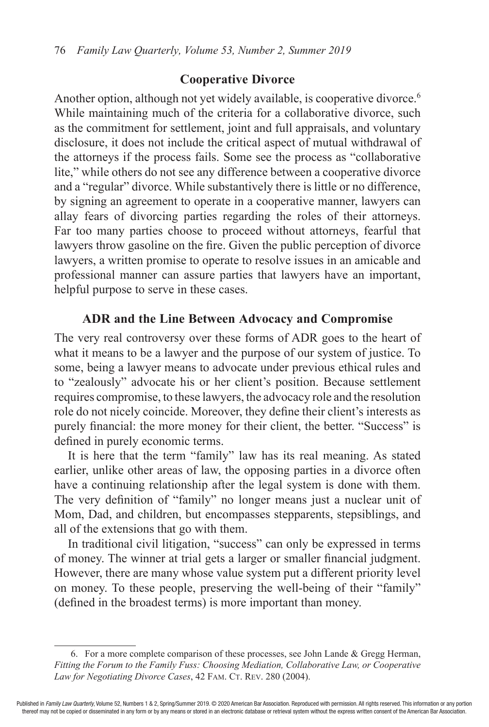#### **Cooperative Divorce**

Another option, although not yet widely available, is cooperative divorce.<sup>6</sup> While maintaining much of the criteria for a collaborative divorce, such as the commitment for settlement, joint and full appraisals, and voluntary disclosure, it does not include the critical aspect of mutual withdrawal of the attorneys if the process fails. Some see the process as "collaborative lite," while others do not see any difference between a cooperative divorce and a "regular" divorce. While substantively there is little or no difference, by signing an agreement to operate in a cooperative manner, lawyers can allay fears of divorcing parties regarding the roles of their attorneys. Far too many parties choose to proceed without attorneys, fearful that lawyers throw gasoline on the fire. Given the public perception of divorce lawyers, a written promise to operate to resolve issues in an amicable and professional manner can assure parties that lawyers have an important, helpful purpose to serve in these cases.

#### **ADR and the Line Between Advocacy and Compromise**

The very real controversy over these forms of ADR goes to the heart of what it means to be a lawyer and the purpose of our system of justice. To some, being a lawyer means to advocate under previous ethical rules and to "zealously" advocate his or her client's position. Because settlement requires compromise, to these lawyers, the advocacy role and the resolution role do not nicely coincide. Moreover, they define their client's interests as purely financial: the more money for their client, the better. "Success" is defined in purely economic terms.

It is here that the term "family" law has its real meaning. As stated earlier, unlike other areas of law, the opposing parties in a divorce often have a continuing relationship after the legal system is done with them. The very definition of "family" no longer means just a nuclear unit of Mom, Dad, and children, but encompasses stepparents, stepsiblings, and all of the extensions that go with them.

In traditional civil litigation, "success" can only be expressed in terms of money. The winner at trial gets a larger or smaller financial judgment. However, there are many whose value system put a different priority level on money. To these people, preserving the well-being of their "family" (defined in the broadest terms) is more important than money.

<sup>6.</sup> For a more complete comparison of these processes, see John Lande  $\&$  Gregg Herman, *Fitting the Forum to the Family Fuss: Choosing Mediation, Collaborative Law, or Cooperative*  Law for Negotiating Divorce Cases, 42 FAM. CT. REV. 280 (2004).